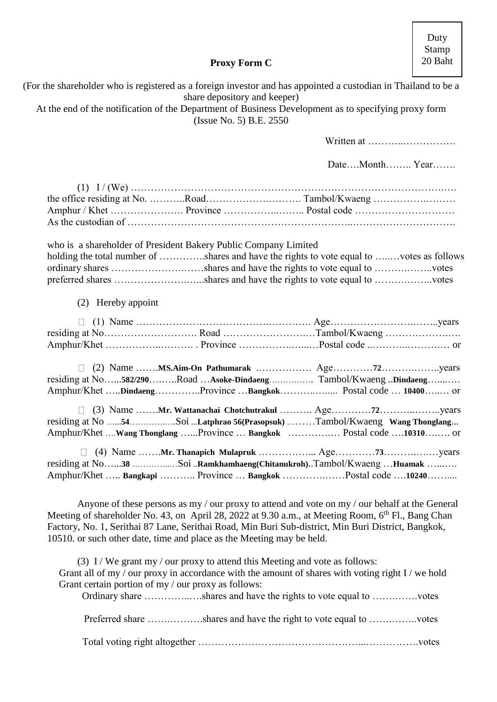Duty Stamp 20 Baht

# **Proxy Form C**

(For the shareholder who is registered as a foreign investor and has appointed a custodian in Thailand to be a

| share depository and keeper)<br>At the end of the notification of the Department of Business Development as to specifying proxy form<br>(Issue No. 5) B.E. 2550                                                                                                                                                                                                                                  |                |
|--------------------------------------------------------------------------------------------------------------------------------------------------------------------------------------------------------------------------------------------------------------------------------------------------------------------------------------------------------------------------------------------------|----------------|
|                                                                                                                                                                                                                                                                                                                                                                                                  | Written at     |
|                                                                                                                                                                                                                                                                                                                                                                                                  | DateMonth Year |
|                                                                                                                                                                                                                                                                                                                                                                                                  |                |
|                                                                                                                                                                                                                                                                                                                                                                                                  |                |
| who is a shareholder of President Bakery Public Company Limited<br>holding the total number of shares and have the rights to vote equal to votes as follows                                                                                                                                                                                                                                      |                |
| (2) Hereby appoint                                                                                                                                                                                                                                                                                                                                                                               |                |
| residing at NoRoad Tambol/Kwaeng                                                                                                                                                                                                                                                                                                                                                                 |                |
| residing at No582/290Road Asoke-Dindaeng Tambol/Kwaeng Dindaeng<br>Amphur/Khet DindaengProvince Bangkok Postal code  10400 or                                                                                                                                                                                                                                                                    |                |
| residing at No 54Soi Latphrao 56(Prasopsuk) Tambol/Kwaeng Wang Thonglang<br>Amphur/Khet Wang Thonglang Province  Bangkok  Postal code 10310 or                                                                                                                                                                                                                                                   |                |
| residing at No38 Soi Ramkhamhaeng(Chitanukroh)Tambol/Kwaeng Huamak<br>Amphur/Khet  Bangkapi  Province  Bangkok Postal code 10240                                                                                                                                                                                                                                                                 |                |
| Anyone of these persons as my / our proxy to attend and vote on my / our behalf at the General<br>Meeting of shareholder No. 43, on April 28, 2022 at 9.30 a.m., at Meeting Room, 6 <sup>th</sup> Fl., Bang Chan<br>Factory, No. 1, Serithai 87 Lane, Serithai Road, Min Buri Sub-district, Min Buri District, Bangkok,<br>10510. or such other date, time and place as the Meeting may be held. |                |
| (3) I / We grant my / our proxy to attend this Meeting and vote as follows:<br>Grant all of my / our proxy in accordance with the amount of shares with voting right I / we hold<br>Grant certain portion of my / our proxy as follows:<br>Ordinary share shares and have the rights to vote equal to votes                                                                                      |                |
| Preferred share shares and have the right to vote equal to votes                                                                                                                                                                                                                                                                                                                                 |                |
|                                                                                                                                                                                                                                                                                                                                                                                                  |                |
|                                                                                                                                                                                                                                                                                                                                                                                                  |                |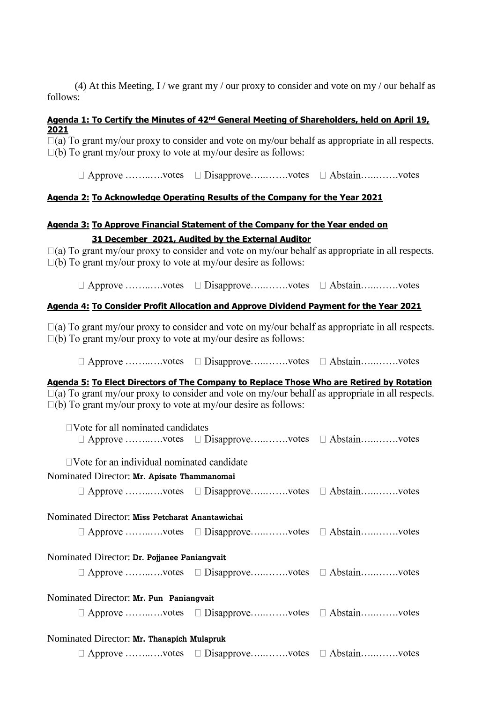(4) At this Meeting, I / we grant my / our proxy to consider and vote on my / our behalf as follows:

#### **Agenda 1: To Certify the Minutes of 42nd General Meeting of Shareholders, held on April 19, 2021**

 $\Box$ (a) To grant my/our proxy to consider and vote on my/our behalf as appropriate in all respects.  $\Box$ (b) To grant my/our proxy to vote at my/our desire as follows:

 $\Box$  Approve ............votes  $\Box$  Disapprove ...........votes  $\Box$  Abstain.............votes

### **Agenda 2: To Acknowledge Operating Results of the Company for the Year 2021**

### **Agenda 3: To Approve Financial Statement of the Company for the Year ended on 31 December 2021, Audited by the External Auditor**

 $\Box$ (a) To grant my/our proxy to consider and vote on my/our behalf as appropriate in all respects.  $\Box$ (b) To grant my/our proxy to vote at my/our desire as follows:

 $\Box$  Approve ............votes  $\Box$  Disapprove ...........votes  $\Box$  Abstain.............votes

### **Agenda 4: To Consider Profit Allocation and Approve Dividend Payment for the Year 2021**

 $\Box$ (a) To grant my/our proxy to consider and vote on my/our behalf as appropriate in all respects.  $\square$ (b) To grant my/our proxy to vote at my/our desire as follows:

 $\Box$  Approve .............votes  $\Box$  Disapprove ...........votes  $\Box$  Abstain..............votes

**Agenda 5: To Elect Directors of The Company to Replace Those Who are Retired by Rotation**  $\boxed{a}$  To grant my/our proxy to consider and vote on my/our behalf as appropriate in all respects.

 $\square$ (b) To grant my/our proxy to vote at my/our desire as follows:

| $\Box$ Vote for all nominated candidates          |                                                                  |  |  |
|---------------------------------------------------|------------------------------------------------------------------|--|--|
|                                                   | $\Box$ Approve votes $\Box$ Disapprove votes $\Box$ Abstainvotes |  |  |
| $\Box$ Vote for an individual nominated candidate |                                                                  |  |  |
| Nominated Director: Mr. Apisate Thammanomai       |                                                                  |  |  |
|                                                   | $\Box$ Approve votes $\Box$ Disapprove votes $\Box$ Abstainvotes |  |  |
| Nominated Director: Miss Petcharat Anantawichai   |                                                                  |  |  |
|                                                   | $\Box$ Approve votes $\Box$ Disapprove votes $\Box$ Abstainvotes |  |  |
| Nominated Director: Dr. Pojjanee Paniangvait      |                                                                  |  |  |
|                                                   | $\Box$ Approve votes $\Box$ Disapprove votes $\Box$ Abstainvotes |  |  |
| Nominated Director: Mr. Pun Paniangvait           |                                                                  |  |  |
|                                                   | $\Box$ Approve votes $\Box$ Disapprove votes $\Box$ Abstainvotes |  |  |
| Nominated Director: Mr. Thanapich Mulapruk        |                                                                  |  |  |
|                                                   | $\Box$ Approve votes $\Box$ Disapprove votes $\Box$ Abstainvotes |  |  |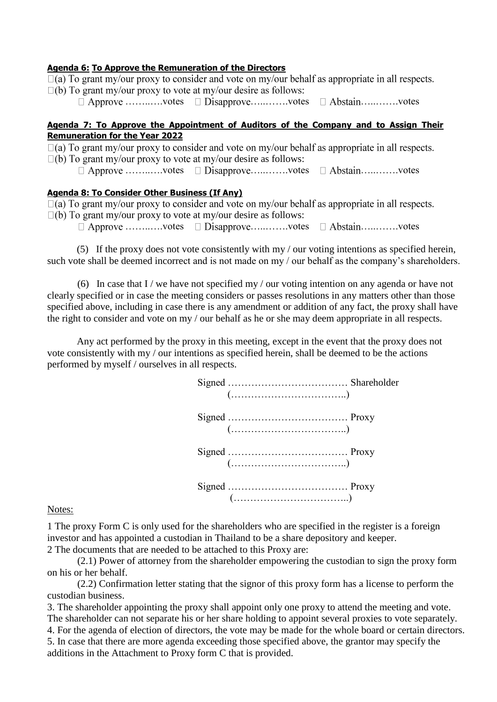**Agenda 6: To Approve the Remuneration of the Directors**<br>□(a) To grant my/our proxy to consider and vote on my/our behalf as appropriate in all respects.  $\square$ (b) To grant my/our proxy to vote at my/our desire as follows:

 $\Box$  Approve .............votes  $\Box$  Disapprove ............votes  $\Box$  Abstain...............votes

#### **Agenda 7: To Approve the Appointment of Auditors of the Company and to Assign Their Remuneration for the Year 2022**

 $\square$ (a) To grant my/our proxy to consider and vote on my/our behalf as appropriate in all respects.

 $\square$ (b) To grant my/our proxy to vote at my/our desire as follows:

 $\Box$  Approve .............votes  $\Box$  Disapprove ...........votes  $\Box$  Abstain..............votes

#### **Agenda 8: To Consider Other Business (If Any)**

 $\Box$ (a) To grant my/our proxy to consider and vote on my/our behalf as appropriate in all respects.

 $\square$ (b) To grant my/our proxy to vote at my/our desire as follows:

 $\Box$  Approve .............votes  $\Box$  Disapprove ...........votes  $\Box$  Abstain..............votes

(5) If the proxy does not vote consistently with my / our voting intentions as specified herein, such vote shall be deemed incorrect and is not made on my / our behalf as the company's shareholders.

(6) In case that I / we have not specified my / our voting intention on any agenda or have not clearly specified or in case the meeting considers or passes resolutions in any matters other than those specified above, including in case there is any amendment or addition of any fact, the proxy shall have the right to consider and vote on my / our behalf as he or she may deem appropriate in all respects.

Any act performed by the proxy in this meeting, except in the event that the proxy does not vote consistently with my / our intentions as specified herein, shall be deemed to be the actions performed by myself / ourselves in all respects.

|                           | $(\ldots, \ldots, \ldots, \ldots, \ldots, \ldots, \ldots, \ldots, \ldots)$ |  |
|---------------------------|----------------------------------------------------------------------------|--|
|                           |                                                                            |  |
|                           |                                                                            |  |
| $\mathbf{N}$ $\mathbf{L}$ |                                                                            |  |

#### Notes:

1 The proxy Form C is only used for the shareholders who are specified in the register is a foreign investor and has appointed a custodian in Thailand to be a share depository and keeper. 2 The documents that are needed to be attached to this Proxy are:

(2.1) Power of attorney from the shareholder empowering the custodian to sign the proxy form on his or her behalf.

(2.2) Confirmation letter stating that the signor of this proxy form has a license to perform the custodian business.

3. The shareholder appointing the proxy shall appoint only one proxy to attend the meeting and vote. The shareholder can not separate his or her share holding to appoint several proxies to vote separately. 4. For the agenda of election of directors, the vote may be made for the whole board or certain directors. 5. In case that there are more agenda exceeding those specified above, the grantor may specify the additions in the Attachment to Proxy form C that is provided.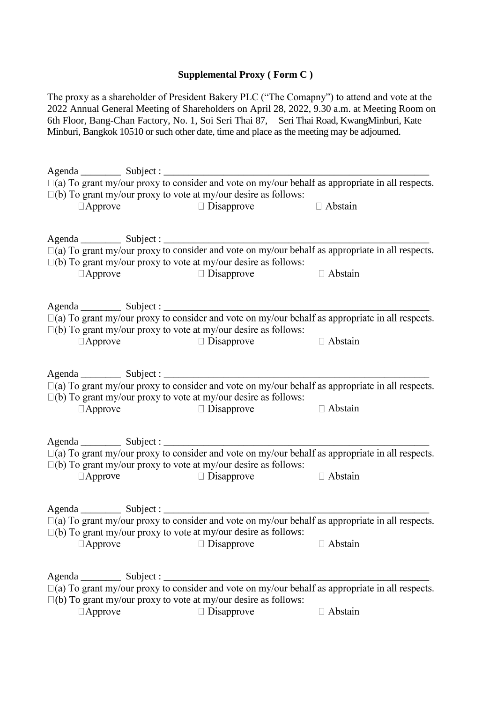## **Supplemental Proxy ( Form C )**

The proxy as a shareholder of President Bakery PLC ("The Comapny") to attend and vote at the 2022 Annual General Meeting of Shareholders on April 28, 2022, 9.30 a.m. at Meeting Room on 6th Floor, Bang-Chan Factory, No. 1, Soi Seri Thai 87, Seri Thai Road, KwangMinburi, Kate Minburi, Bangkok 10510 or such other date, time and place as the meeting may be adjourned.

|                                                                                                                                                                                                                                                                                                                                                                                                                                           | $\square$ (a) To grant my/our proxy to consider and vote on my/our behalf as appropriate in all respects. |                |
|-------------------------------------------------------------------------------------------------------------------------------------------------------------------------------------------------------------------------------------------------------------------------------------------------------------------------------------------------------------------------------------------------------------------------------------------|-----------------------------------------------------------------------------------------------------------|----------------|
|                                                                                                                                                                                                                                                                                                                                                                                                                                           | $\square$ (b) To grant my/our proxy to vote at my/our desire as follows:                                  |                |
| $\Box$ Approve                                                                                                                                                                                                                                                                                                                                                                                                                            | $\Box$ Disapprove<br>$\Box$ Abstain                                                                       |                |
|                                                                                                                                                                                                                                                                                                                                                                                                                                           |                                                                                                           |                |
|                                                                                                                                                                                                                                                                                                                                                                                                                                           |                                                                                                           |                |
|                                                                                                                                                                                                                                                                                                                                                                                                                                           |                                                                                                           |                |
|                                                                                                                                                                                                                                                                                                                                                                                                                                           |                                                                                                           |                |
|                                                                                                                                                                                                                                                                                                                                                                                                                                           | $\square$ (b) To grant my/our proxy to vote at my/our desire as follows:                                  |                |
| $\Box$ Approve                                                                                                                                                                                                                                                                                                                                                                                                                            | $\Box$ Disapprove                                                                                         | $\Box$ Abstain |
|                                                                                                                                                                                                                                                                                                                                                                                                                                           |                                                                                                           |                |
|                                                                                                                                                                                                                                                                                                                                                                                                                                           |                                                                                                           |                |
|                                                                                                                                                                                                                                                                                                                                                                                                                                           |                                                                                                           |                |
|                                                                                                                                                                                                                                                                                                                                                                                                                                           |                                                                                                           |                |
|                                                                                                                                                                                                                                                                                                                                                                                                                                           | $\square$ (b) To grant my/our proxy to vote at my/our desire as follows:                                  |                |
| $\Box$ Approve                                                                                                                                                                                                                                                                                                                                                                                                                            | $\Box$ Disapprove                                                                                         | $\Box$ Abstain |
|                                                                                                                                                                                                                                                                                                                                                                                                                                           |                                                                                                           |                |
|                                                                                                                                                                                                                                                                                                                                                                                                                                           |                                                                                                           |                |
|                                                                                                                                                                                                                                                                                                                                                                                                                                           |                                                                                                           |                |
|                                                                                                                                                                                                                                                                                                                                                                                                                                           |                                                                                                           |                |
|                                                                                                                                                                                                                                                                                                                                                                                                                                           | $\square$ (b) To grant my/our proxy to vote at my/our desire as follows:                                  |                |
| $\Box$ Approve                                                                                                                                                                                                                                                                                                                                                                                                                            | $\Box$ Disapprove                                                                                         | $\Box$ Abstain |
|                                                                                                                                                                                                                                                                                                                                                                                                                                           |                                                                                                           |                |
|                                                                                                                                                                                                                                                                                                                                                                                                                                           |                                                                                                           |                |
|                                                                                                                                                                                                                                                                                                                                                                                                                                           |                                                                                                           |                |
|                                                                                                                                                                                                                                                                                                                                                                                                                                           | $\square$ (a) To grant my/our proxy to consider and vote on my/our behalf as appropriate in all respects. |                |
|                                                                                                                                                                                                                                                                                                                                                                                                                                           | $\square$ (b) To grant my/our proxy to vote at my/our desire as follows:                                  |                |
| $\Box$ Approve                                                                                                                                                                                                                                                                                                                                                                                                                            | $\Box$ Disapprove                                                                                         | $\Box$ Abstain |
|                                                                                                                                                                                                                                                                                                                                                                                                                                           |                                                                                                           |                |
|                                                                                                                                                                                                                                                                                                                                                                                                                                           |                                                                                                           |                |
|                                                                                                                                                                                                                                                                                                                                                                                                                                           |                                                                                                           |                |
|                                                                                                                                                                                                                                                                                                                                                                                                                                           | $\square$ (a) To grant my/our proxy to consider and vote on my/our behalf as appropriate in all respects. |                |
|                                                                                                                                                                                                                                                                                                                                                                                                                                           | $\square$ (b) To grant my/our proxy to vote at my/our desire as follows:                                  |                |
| Approve                                                                                                                                                                                                                                                                                                                                                                                                                                   | Disapprove                                                                                                | Abstain        |
|                                                                                                                                                                                                                                                                                                                                                                                                                                           |                                                                                                           |                |
|                                                                                                                                                                                                                                                                                                                                                                                                                                           |                                                                                                           |                |
| $\frac{1}{\sqrt{1-\frac{1}{2}}}\frac{1}{\sqrt{1-\frac{1}{2}}}\frac{1}{\sqrt{1-\frac{1}{2}}}\frac{1}{\sqrt{1-\frac{1}{2}}}\frac{1}{\sqrt{1-\frac{1}{2}}}\frac{1}{\sqrt{1-\frac{1}{2}}}\frac{1}{\sqrt{1-\frac{1}{2}}}\frac{1}{\sqrt{1-\frac{1}{2}}}\frac{1}{\sqrt{1-\frac{1}{2}}}\frac{1}{\sqrt{1-\frac{1}{2}}}\frac{1}{\sqrt{1-\frac{1}{2}}}\frac{1}{\sqrt{1-\frac{1}{2}}}\frac{1}{\sqrt{1-\frac{1}{2}}}\frac{1}{\sqrt{1-\frac{$<br>Agenda |                                                                                                           |                |
|                                                                                                                                                                                                                                                                                                                                                                                                                                           | $\square$ (a) To grant my/our proxy to consider and vote on my/our behalf as appropriate in all respects. |                |
|                                                                                                                                                                                                                                                                                                                                                                                                                                           | $\square$ (b) To grant my/our proxy to vote at my/our desire as follows:                                  |                |
| $\Box$ Approve                                                                                                                                                                                                                                                                                                                                                                                                                            | Disapprove                                                                                                | □ Abstain      |
|                                                                                                                                                                                                                                                                                                                                                                                                                                           |                                                                                                           |                |